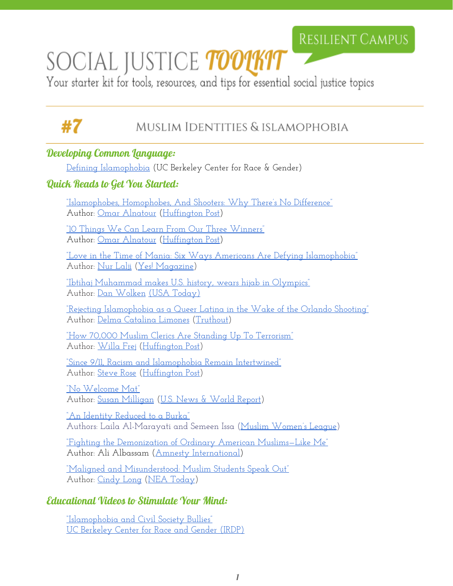## **RESILIENT CAMPUS**

# SOCIAL JUSTICE *toolkit*

Your starter kit for tools, resources, and tips for essential social justice topics

# #7

### Muslim Identities & islamophobia

#### Developing Common Language:

[Defining Islamophobia](http://crg.berkeley.edu/content/islamophobia/defining-islamophobia) (UC Berkeley Center for Race & Gender)

#### Quick Reads to Get You Started:

["Islamophobes, Homophobes, And](http://www.huffingtonpost.com/entry/islamophobes-homophobes-and-shooters-why-theres_us_575dba22e4b053e2197925fc) Shooters: Why There's No Difference" Author: [Omar Alnatour](http://www.huffingtonpost.com/author/omar-i-alnatour-536) ([Huffington](http://www.huffingtonpost.com/) Post)

["10 Things We Can Learn](http://www.huffingtonpost.com/omar-alnatour/10-things-we-can-learn-from-our-three-winners_b_9195906.html?) From Our Three Winners" Author: [Omar Alnatour](http://www.huffingtonpost.com/author/omar-i-alnatour-536) ([Huffington](http://www.huffingtonpost.com/) Post)

["L](http://www.yesmagazine.org/peace-justice/love-in-the-time-of-mania-u-s-communities-standing-with-muslims-20151211)ove in the Time of Mania: Six Ways Americans Are [Defying Islamophobia"](http://www.yesmagazine.org/peace-justice/love-in-the-time-of-mania-u-s-communities-standing-with-muslims-20151211) Author: [Nur Lalji](http://www.yesmagazine.org/@@also-by?author=Nur+Lalji) [\(Yes! Magazine\)](http://www.yesmagazine.org/)

["Ibtihaj Muhammad makes U.S. history, wears hijab](http://www.usatoday.com/story/sports/olympics/2016/08/08/ibtihaj-muhammad-makes-us-history-wears-hijab-in-olympics/88399686/) in Olympics" Author: [Dan Wolken](http://www.usatoday.com/staff/2455/dan-wolken/) (USA [Today\)](http://www.usatoday.com/)

["Rejecting Islamophobia](http://www.truth-out.org/opinion/item/36421-rejecting-islamophobia-as-a-queer-latina-in-the-wake-of-the-orlando-pulse-shooting) as a Queer Latina in the Wake of the Orlando Shooting" Author: [Delma Catalina](http://www.truth-out.org/author/itemlist/user/52298) Limones [\(Truthout\)](http://www.truth-out.org/)

["How 70,000 Muslim](http://www.huffingtonpost.com/entry/muslim-clerics-condemn-terrorism_us_566adfa1e4b009377b249dea) Clerics Are Standing Up To Terrorism" Author: [Willa Frej](http://www.huffingtonpost.com/author/willa-frej) [\(Huffington](http://www.huffingtonpost.com/) Post)

["Since 9/11, Racism and](http://www.huffingtonpost.co.uk/steve-rose/911-racism-islamophobia_b_3908411.html) Islamophobia Remain Intertwined" Author: [Steve Rose](http://www.huffingtonpost.co.uk/author/steve-rose) [\(Huffington](http://www.huffingtonpost.com/) Post)

["No Welcome Mat"](http://www.usnews.com/news/the-report/articles/2015/11/20/after-paris-islamophobia-is-on-the-rise) Author: [Susan Milligan](http://www.usnews.com/topics/author/susan-milligan) ([U.S. News &](http://www.usnews.com/) World Report)

["An Identity Reduced to](http://www.mwlusa.org/topics/dress/burka.html) a Burka" Authors: Laila Al-Marayati and Semeen Issa (Muslim [Women's](http://www.mwlusa.org/index.html) League)

["Fighting the Demonization](http://blog.amnestyusa.org/us/fighting-the-demonization-of-ordinary-american-muslims-like-me/) of Ordinary American Muslims—Like Me" Author: Ali Albassam (Amnesty [International\)](http://www.amnestyusa.org/)

["Maligned and Misunderstood:](http://neatoday.org/2016/06/09/muslim-students-u-s/) Muslim Students Speak Out" Author: [Cindy Long](http://neatoday.org/authors/cindy-long/) (NEA [Today\)](http://neatoday.org/)

#### Educational Videos to Stimulate Your Mind:

["Islamophobia and Civil Society](https://www.youtube.com/watch?v=4HRqVyl0h8c) Bullies" [UC Berkeley Center for](http://www.irdproject.com/) Race and Gender (IRDP)